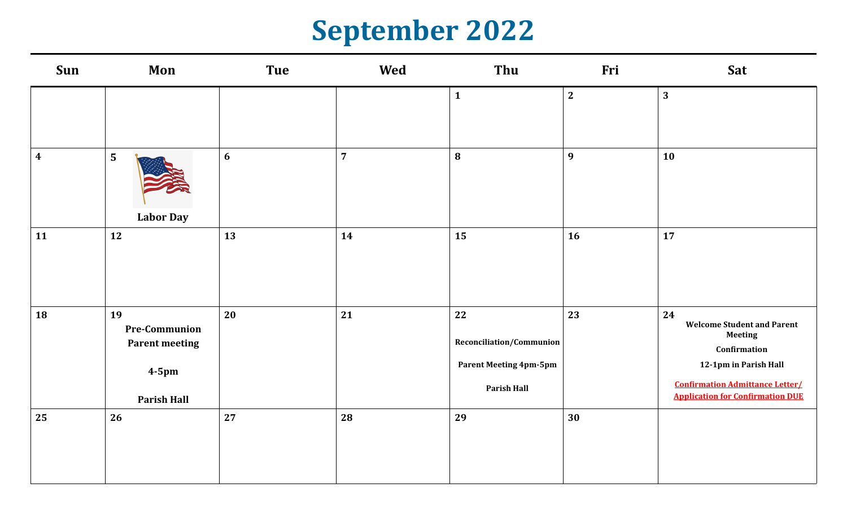### **September 2022**

| Sun                     | Mon                                                                                   | Tue            | Wed            | Thu                                                                                   | Fri          | Sat                                                                                                                                                                                     |
|-------------------------|---------------------------------------------------------------------------------------|----------------|----------------|---------------------------------------------------------------------------------------|--------------|-----------------------------------------------------------------------------------------------------------------------------------------------------------------------------------------|
|                         |                                                                                       |                |                | $\mathbf{1}$                                                                          | $\mathbf{2}$ | $\mathbf{3}$                                                                                                                                                                            |
| $\overline{\mathbf{4}}$ | 5<br><b>Labor Day</b>                                                                 | $6\phantom{1}$ | $\overline{7}$ | 8                                                                                     | 9            | 10                                                                                                                                                                                      |
| 11                      | 12                                                                                    | 13             | 14             | 15                                                                                    | 16           | 17                                                                                                                                                                                      |
| 18                      | 19<br><b>Pre-Communion</b><br><b>Parent meeting</b><br>$4-5$ pm<br><b>Parish Hall</b> | 20             | 21             | 22<br>Reconciliation/Communion<br><b>Parent Meeting 4pm-5pm</b><br><b>Parish Hall</b> | 23           | 24<br><b>Welcome Student and Parent</b><br><b>Meeting</b><br>Confirmation<br>12-1pm in Parish Hall<br><b>Confirmation Admittance Letter/</b><br><b>Application for Confirmation DUE</b> |
| 25                      | 26                                                                                    | 27             | 28             | 29                                                                                    | 30           |                                                                                                                                                                                         |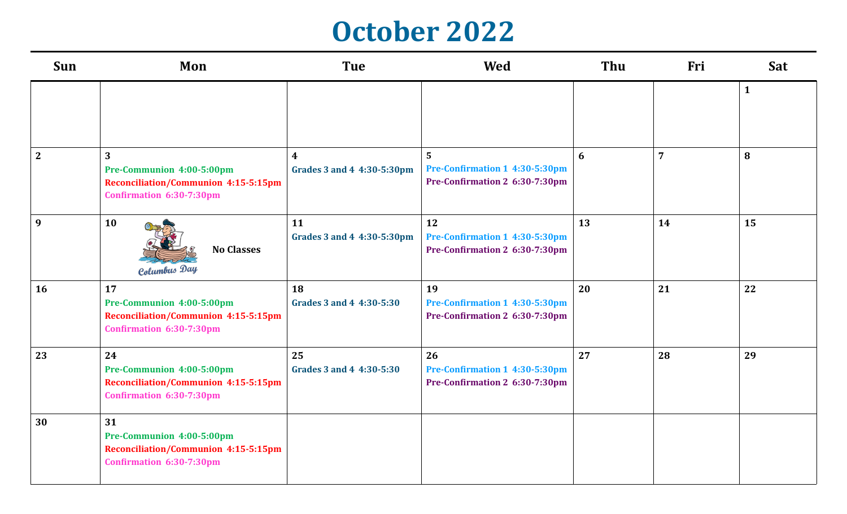#### **October 2022**

| Sun            | Mon                                                                                                        | <b>Tue</b>                                     | <b>Wed</b>                                                             | Thu | Fri            | Sat          |  |
|----------------|------------------------------------------------------------------------------------------------------------|------------------------------------------------|------------------------------------------------------------------------|-----|----------------|--------------|--|
|                |                                                                                                            |                                                |                                                                        |     |                | $\mathbf{1}$ |  |
| $\overline{2}$ | 3<br>Pre-Communion 4:00-5:00pm<br><b>Reconciliation/Communion 4:15-5:15pm</b><br>Confirmation 6:30-7:30pm  | $\boldsymbol{4}$<br>Grades 3 and 4 4:30-5:30pm | 5<br>Pre-Confirmation 1 4:30-5:30pm<br>Pre-Confirmation 2 6:30-7:30pm  | 6   | $\overline{7}$ | 8            |  |
| 9              | 10<br><b>No Classes</b><br>Columbus Day                                                                    | 11<br>Grades 3 and 4 4:30-5:30pm               | 12<br>Pre-Confirmation 1 4:30-5:30pm<br>Pre-Confirmation 2 6:30-7:30pm | 13  | 14             | 15           |  |
| 16             | 17<br>Pre-Communion 4:00-5:00pm<br><b>Reconciliation/Communion 4:15-5:15pm</b><br>Confirmation 6:30-7:30pm | 18<br>Grades 3 and 4 4:30-5:30                 | 19<br>Pre-Confirmation 1 4:30-5:30pm<br>Pre-Confirmation 2 6:30-7:30pm | 20  | 21             | 22           |  |
| 23             | 24<br>Pre-Communion 4:00-5:00pm<br><b>Reconciliation/Communion 4:15-5:15pm</b><br>Confirmation 6:30-7:30pm | 25<br>Grades 3 and 4 4:30-5:30                 | 26<br>Pre-Confirmation 1 4:30-5:30pm<br>Pre-Confirmation 2 6:30-7:30pm | 27  | 28             | 29           |  |
| 30             | 31<br>Pre-Communion 4:00-5:00pm<br><b>Reconciliation/Communion 4:15-5:15pm</b><br>Confirmation 6:30-7:30pm |                                                |                                                                        |     |                |              |  |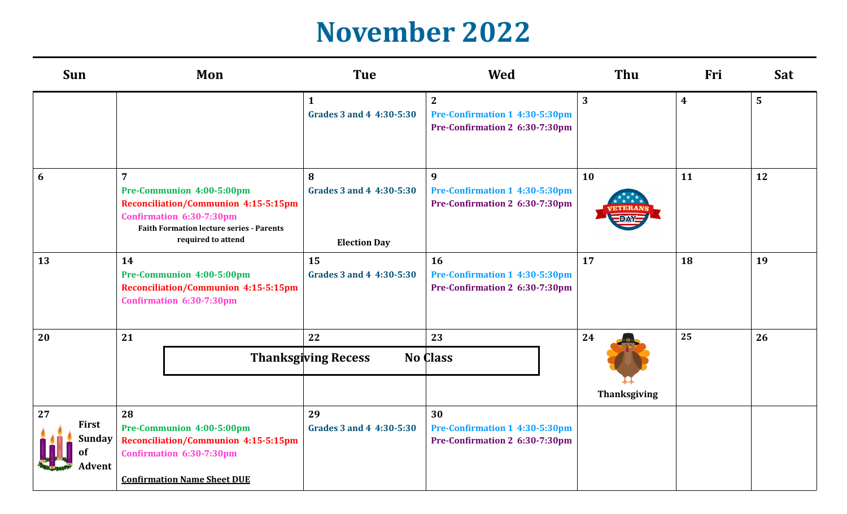### **November 2022**

| <b>Sun</b>                      | Mon<br><b>Tue</b>                                                                                                                                                                               |                                                      | <b>Wed</b>                                                                         | <b>Thu</b>                | Fri              | Sat |
|---------------------------------|-------------------------------------------------------------------------------------------------------------------------------------------------------------------------------------------------|------------------------------------------------------|------------------------------------------------------------------------------------|---------------------------|------------------|-----|
|                                 |                                                                                                                                                                                                 | $\mathbf{1}$<br>Grades 3 and 4 4:30-5:30             | $\overline{2}$<br>Pre-Confirmation 1 4:30-5:30pm<br>Pre-Confirmation 2 6:30-7:30pm | 3                         | $\boldsymbol{4}$ | 5   |
| 6                               | $\overline{7}$<br>Pre-Communion 4:00-5:00pm<br><b>Reconciliation/Communion 4:15-5:15pm</b><br>Confirmation 6:30-7:30pm<br><b>Faith Formation lecture series - Parents</b><br>required to attend | 8<br>Grades 3 and 4 4:30-5:30<br><b>Election Day</b> | 9<br>Pre-Confirmation 1 4:30-5:30pm<br>Pre-Confirmation 2 6:30-7:30pm              | 10                        | 11               | 12  |
| 13                              | 15<br>14<br>Pre-Communion 4:00-5:00pm<br>Grades 3 and 4 4:30-5:30<br><b>Reconciliation/Communion 4:15-5:15pm</b><br>Confirmation 6:30-7:30pm                                                    |                                                      | 16<br>Pre-Confirmation 1 4:30-5:30pm<br>Pre-Confirmation 2 6:30-7:30pm             | 17                        | 18               | 19  |
| 20                              | 21<br>22<br><b>Thanksgiving Recess</b>                                                                                                                                                          |                                                      | 23<br><b>No Class</b>                                                              | 24<br><b>Thanksgiving</b> | 25               | 26  |
| 27<br>First<br>Sunday<br>Advent | 28<br>Pre-Communion 4:00-5:00pm<br>Reconciliation/Communion 4:15-5:15pm<br>Confirmation 6:30-7:30pm<br><b>Confirmation Name Sheet DUE</b>                                                       | 29<br>Grades 3 and 4 4:30-5:30                       | 30<br>Pre-Confirmation 1 4:30-5:30pm<br>Pre-Confirmation 2 6:30-7:30pm             |                           |                  |     |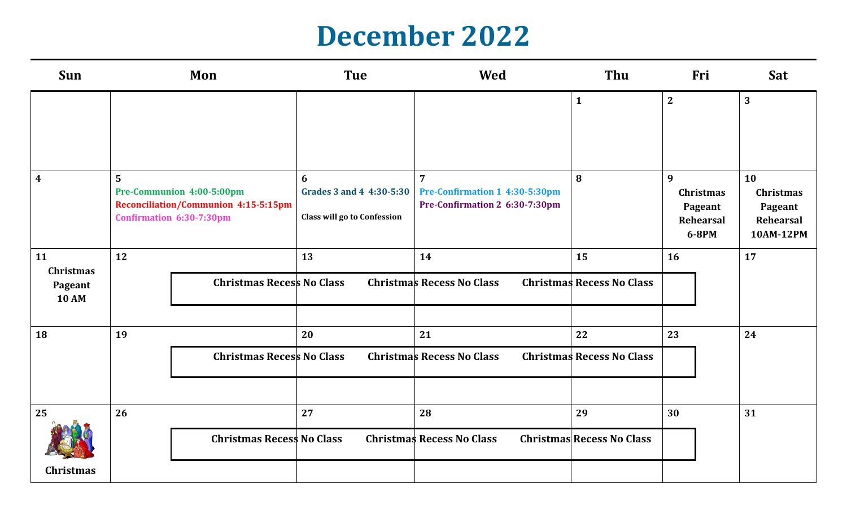#### **December 2022**

| Sun                                               |                                                                                                                        | Mon                              | <b>Tue</b>                                                          |                                                                                    | Thu                                    | Fri                                                    | Sat                                                                |
|---------------------------------------------------|------------------------------------------------------------------------------------------------------------------------|----------------------------------|---------------------------------------------------------------------|------------------------------------------------------------------------------------|----------------------------------------|--------------------------------------------------------|--------------------------------------------------------------------|
|                                                   |                                                                                                                        |                                  |                                                                     |                                                                                    | $\mathbf{1}$                           | $\mathbf{2}$                                           | $\mathbf{3}$                                                       |
| $\boldsymbol{4}$                                  | $5\phantom{1}$<br>Pre-Communion 4:00-5:00pm<br><b>Reconciliation/Communion 4:15-5:15pm</b><br>Confirmation 6:30-7:30pm |                                  | 6<br>Grades 3 and 4 4:30-5:30<br><b>Class will go to Confession</b> | $\overline{7}$<br>Pre-Confirmation 1 4:30-5:30pm<br>Pre-Confirmation 2 6:30-7:30pm | 8                                      | 9<br>Christmas<br>Pageant<br><b>Rehearsal</b><br>6-8PM | 10<br><b>Christmas</b><br>Pageant<br><b>Rehearsal</b><br>10AM-12PM |
| 11<br><b>Christmas</b><br>Pageant<br><b>10 AM</b> | 12                                                                                                                     | <b>Christmas Recess No Class</b> | 13                                                                  | 14<br><b>Christmas Recess No Class</b>                                             | 15<br><b>Christmas Recess No Class</b> | 16                                                     | 17                                                                 |
| 18                                                | 19                                                                                                                     | <b>Christmas Recess No Class</b> | 20                                                                  | 21<br><b>Christmas Recess No Class</b>                                             | 22<br><b>Christmas Recess No Class</b> | 23                                                     | 24                                                                 |
| 25<br><b>Christmas</b>                            | 26                                                                                                                     | <b>Christmas Recess No Class</b> | 27                                                                  | 28<br><b>Christmas Recess No Class</b>                                             | 29<br><b>Christmas Recess No Class</b> | 30                                                     | 31                                                                 |
|                                                   |                                                                                                                        |                                  |                                                                     |                                                                                    |                                        |                                                        |                                                                    |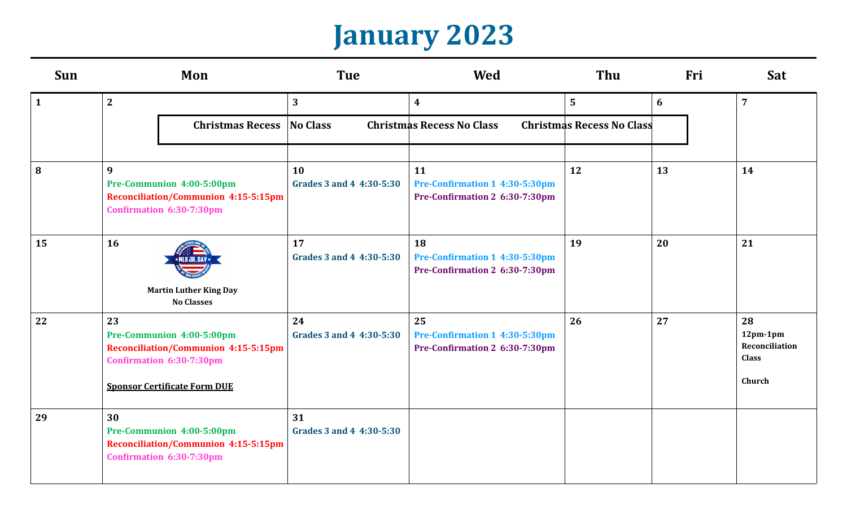### **January 2023**

| Sun          | Mon                                                                                                                                               | <b>Tue</b>                                                                       | Wed                                                                    | Thu<br>Fri     |    | Sat                                                          |
|--------------|---------------------------------------------------------------------------------------------------------------------------------------------------|----------------------------------------------------------------------------------|------------------------------------------------------------------------|----------------|----|--------------------------------------------------------------|
| $\mathbf{1}$ | 2                                                                                                                                                 | $\overline{\mathbf{3}}$                                                          | $\boldsymbol{4}$                                                       | $5\phantom{.}$ | 6  | $\overline{7}$                                               |
|              | <b>Christmas Recess</b>                                                                                                                           | No Class<br><b>Christmas Recess No Class</b><br><b>Christmas Recess No Class</b> |                                                                        |                |    |                                                              |
| 8            | 9<br>Pre-Communion 4:00-5:00pm<br><b>Reconciliation/Communion 4:15-5:15pm</b><br>Confirmation 6:30-7:30pm                                         | 10<br>Grades 3 and 4 4:30-5:30                                                   | 11<br>Pre-Confirmation 1 4:30-5:30pm<br>Pre-Confirmation 2 6:30-7:30pm | 12             | 13 | 14                                                           |
| 15           | <b>16</b><br>LK JR. DA<br><b>Martin Luther King Day</b><br><b>No Classes</b>                                                                      | 17<br>Grades 3 and 4 4:30-5:30                                                   | 18<br>Pre-Confirmation 1 4:30-5:30pm<br>Pre-Confirmation 2 6:30-7:30pm | 19             | 20 | 21                                                           |
| 22           | 23<br>Pre-Communion 4:00-5:00pm<br><b>Reconciliation/Communion 4:15-5:15pm</b><br>Confirmation 6:30-7:30pm<br><b>Sponsor Certificate Form DUE</b> | 24<br>Grades 3 and 4 4:30-5:30                                                   | 25<br>Pre-Confirmation 1 4:30-5:30pm<br>Pre-Confirmation 2 6:30-7:30pm | 26             | 27 | 28<br>$12pm-1pm$<br>Reconciliation<br><b>Class</b><br>Church |
| 29           | 30<br>Pre-Communion 4:00-5:00pm<br><b>Reconciliation/Communion 4:15-5:15pm</b><br>Confirmation 6:30-7:30pm                                        | 31<br>Grades 3 and 4 4:30-5:30                                                   |                                                                        |                |    |                                                              |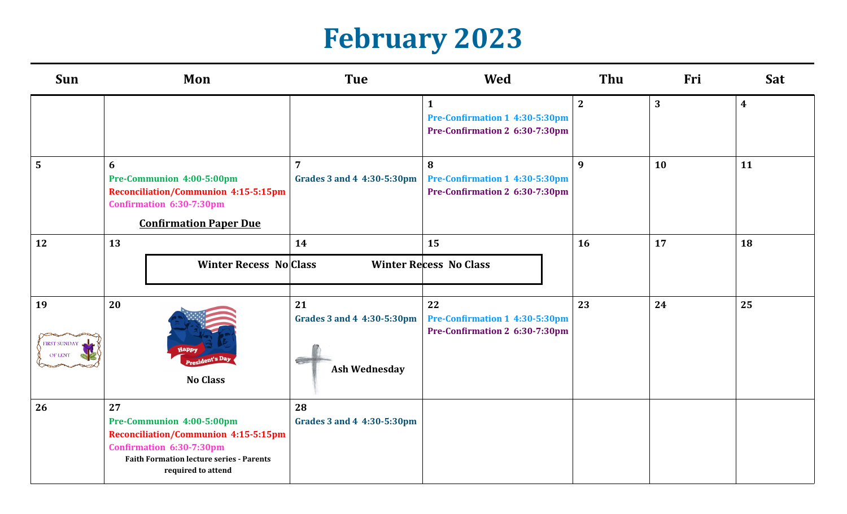# **February 2023**

| Sun                           | Mon                                                                                                                                                                                 | <b>Tue</b><br><b>Wed</b>                                 |                                                                                  | Thu          | Fri | Sat              |
|-------------------------------|-------------------------------------------------------------------------------------------------------------------------------------------------------------------------------------|----------------------------------------------------------|----------------------------------------------------------------------------------|--------------|-----|------------------|
|                               |                                                                                                                                                                                     |                                                          | $\mathbf{1}$<br>Pre-Confirmation 1 4:30-5:30pm<br>Pre-Confirmation 2 6:30-7:30pm | $\mathbf{2}$ | 3   | $\boldsymbol{4}$ |
| $5\overline{)}$               | 6<br>Pre-Communion 4:00-5:00pm<br><b>Reconciliation/Communion 4:15-5:15pm</b><br>Confirmation 6:30-7:30pm<br><b>Confirmation Paper Due</b>                                          | $\overline{7}$<br>Grades 3 and 4 4:30-5:30pm             | 8<br>Pre-Confirmation 1 4:30-5:30pm<br>Pre-Confirmation 2 6:30-7:30pm            | 9            | 10  | 11               |
| 12                            | 13<br><b>Winter Recess No Class</b>                                                                                                                                                 | 14                                                       | 15<br><b>Winter Recess No Class</b>                                              | 16           | 17  | 18               |
| 19<br>FIRST SUNDAY<br>OF LENT | 20<br>Happy<br><b>nt's</b> Day<br><b>No Class</b>                                                                                                                                   | 21<br>Grades 3 and 4 4:30-5:30pm<br><b>Ash Wednesday</b> | 22<br>Pre-Confirmation 1 4:30-5:30pm<br>Pre-Confirmation 2 6:30-7:30pm           | 23           | 24  | 25               |
| 26                            | 27<br>Pre-Communion 4:00-5:00pm<br><b>Reconciliation/Communion 4:15-5:15pm</b><br>Confirmation 6:30-7:30pm<br><b>Faith Formation lecture series - Parents</b><br>required to attend | 28<br>Grades 3 and 4 4:30-5:30pm                         |                                                                                  |              |     |                  |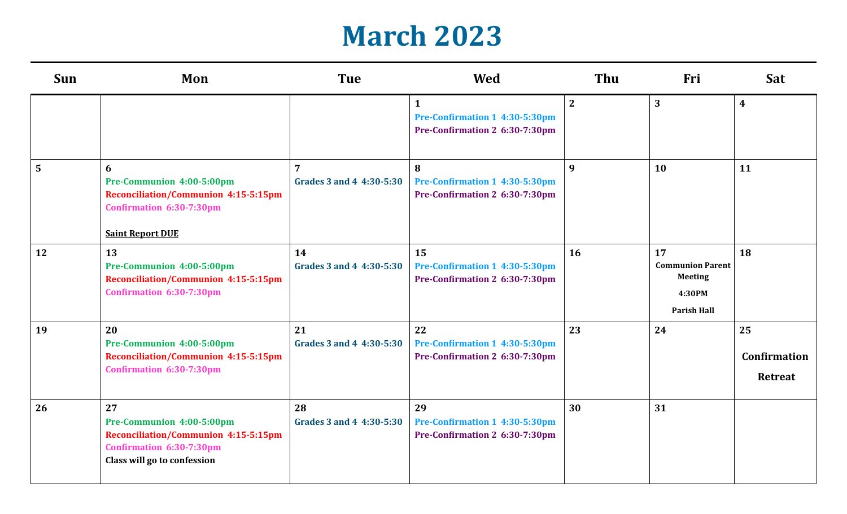#### **March 2023**

| Sun            | Mon                                                                                                                                       | <b>Tue</b>                                 | <b>Wed</b>                                                                       | Thu         | Fri                                                                             | Sat                                         |
|----------------|-------------------------------------------------------------------------------------------------------------------------------------------|--------------------------------------------|----------------------------------------------------------------------------------|-------------|---------------------------------------------------------------------------------|---------------------------------------------|
|                |                                                                                                                                           |                                            | $\mathbf{1}$<br>Pre-Confirmation 1 4:30-5:30pm<br>Pre-Confirmation 2 6:30-7:30pm | $2^{\circ}$ | 3                                                                               | $\boldsymbol{4}$                            |
| $5\phantom{.}$ | 6<br>Pre-Communion 4:00-5:00pm<br><b>Reconciliation/Communion 4:15-5:15pm</b><br>Confirmation 6:30-7:30pm<br><b>Saint Report DUE</b>      | $\overline{7}$<br>Grades 3 and 4 4:30-5:30 | 8<br>Pre-Confirmation 1 4:30-5:30pm<br>Pre-Confirmation 2 6:30-7:30pm            | 9           | <b>10</b>                                                                       | 11                                          |
| 12             | 13<br>Pre-Communion 4:00-5:00pm<br><b>Reconciliation/Communion 4:15-5:15pm</b><br>Confirmation 6:30-7:30pm                                | 14<br>Grades 3 and 4 4:30-5:30             | 15<br>Pre-Confirmation 1 4:30-5:30pm<br>Pre-Confirmation 2 6:30-7:30pm           | 16          | 17<br><b>Communion Parent</b><br><b>Meeting</b><br>4:30PM<br><b>Parish Hall</b> | 18                                          |
| 19             | 20<br>Pre-Communion 4:00-5:00pm<br><b>Reconciliation/Communion 4:15-5:15pm</b><br>Confirmation 6:30-7:30pm                                | 21<br>Grades 3 and 4 4:30-5:30             | 22<br>Pre-Confirmation 1 4:30-5:30pm<br>Pre-Confirmation 2 6:30-7:30pm           | 23          | 24                                                                              | 25<br><b>Confirmation</b><br><b>Retreat</b> |
| 26             | 27<br>Pre-Communion 4:00-5:00pm<br><b>Reconciliation/Communion 4:15-5:15pm</b><br>Confirmation 6:30-7:30pm<br>Class will go to confession | 28<br>Grades 3 and 4 4:30-5:30             | 29<br>Pre-Confirmation 1 4:30-5:30pm<br>Pre-Confirmation 2 6:30-7:30pm           | 30          | 31                                                                              |                                             |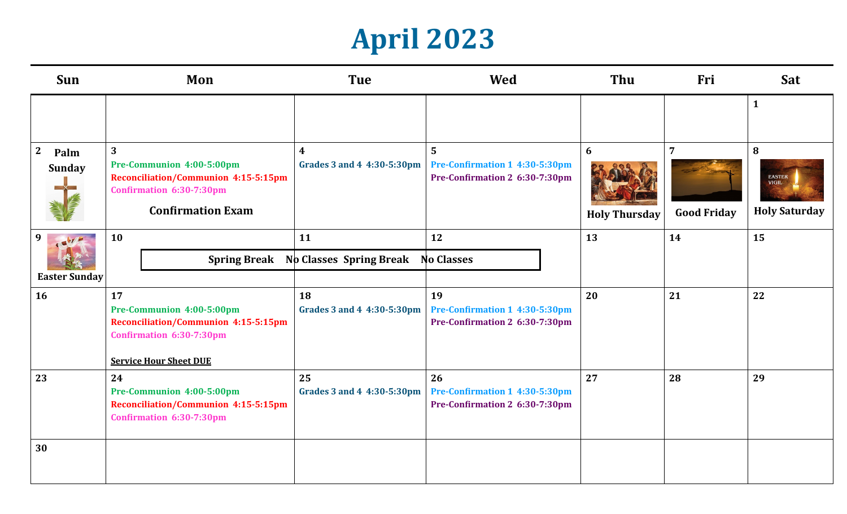# **April 2023**

| Sun                  | Mon<br><b>Tue</b>                                                                                                                |                                  | <b>Wed</b>                                                             | Thu                  | Fri                | Sat                                                   |
|----------------------|----------------------------------------------------------------------------------------------------------------------------------|----------------------------------|------------------------------------------------------------------------|----------------------|--------------------|-------------------------------------------------------|
|                      |                                                                                                                                  |                                  |                                                                        |                      |                    | $\mathbf{1}$                                          |
| $\mathbf{2}$<br>Palm | $\mathbf{3}$                                                                                                                     | $\boldsymbol{4}$                 | $\overline{5}$                                                         | 6                    | $\overline{7}$     | 8                                                     |
| <b>Sunday</b>        | Pre-Communion 4:00-5:00pm<br><b>Reconciliation/Communion 4:15-5:15pm</b><br>Confirmation 6:30-7:30pm<br><b>Confirmation Exam</b> | Grades 3 and 4 4:30-5:30pm       | Pre-Confirmation 1 4:30-5:30pm<br>Pre-Confirmation 2 6:30-7:30pm       | <b>Holy Thursday</b> | <b>Good Friday</b> | <b>EASTER</b><br><b>VIGIL</b><br><b>Holy Saturday</b> |
| 9                    | 10                                                                                                                               | 11                               | 12                                                                     | 13                   | 14                 | 15                                                    |
|                      | <b>Spring Break</b>                                                                                                              | <b>No Classes Spring Break</b>   | <b>No Classes</b>                                                      |                      |                    |                                                       |
| <b>Easter Sunday</b> |                                                                                                                                  |                                  |                                                                        |                      |                    |                                                       |
| 16                   | 17<br>Pre-Communion 4:00-5:00pm<br><b>Reconciliation/Communion 4:15-5:15pm</b><br>Confirmation 6:30-7:30pm                       | 18<br>Grades 3 and 4 4:30-5:30pm | 19<br>Pre-Confirmation 1 4:30-5:30pm<br>Pre-Confirmation 2 6:30-7:30pm | 20                   | 21                 | 22                                                    |
|                      | <b>Service Hour Sheet DUE</b>                                                                                                    |                                  |                                                                        |                      |                    |                                                       |
| 23                   | 24<br>Pre-Communion 4:00-5:00pm<br>Reconciliation/Communion 4:15-5:15pm<br>Confirmation 6:30-7:30pm                              | 25<br>Grades 3 and 4 4:30-5:30pm | 26<br>Pre-Confirmation 1 4:30-5:30pm<br>Pre-Confirmation 2 6:30-7:30pm | 27                   | 28                 | 29                                                    |
| 30                   |                                                                                                                                  |                                  |                                                                        |                      |                    |                                                       |